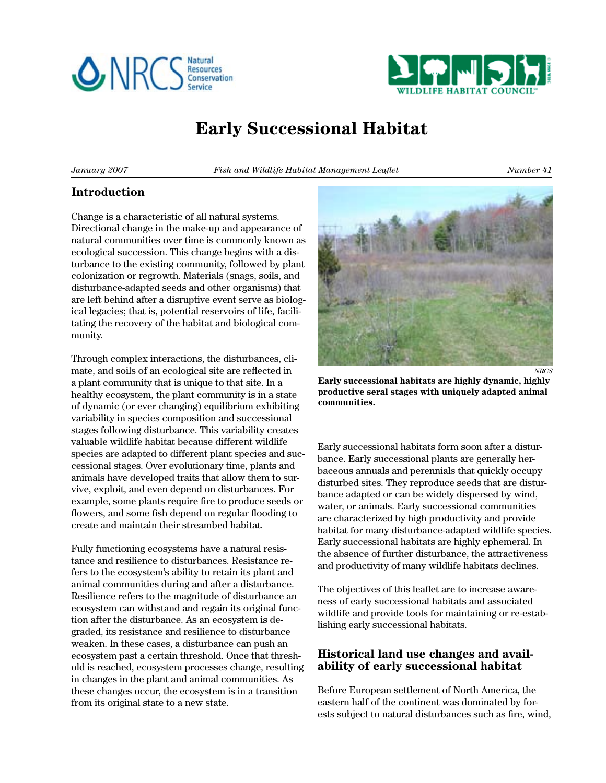



# **Early Successional Habitat**

*January 2007 Fish and Wildlife Habitat Management Leaflet Number 41*

#### **Introduction**

Change is a characteristic of all natural systems. Directional change in the make-up and appearance of natural communities over time is commonly known as ecological succession. This change begins with a disturbance to the existing community, followed by plant colonization or regrowth. Materials (snags, soils, and disturbance-adapted seeds and other organisms) that are left behind after a disruptive event serve as biological legacies; that is, potential reservoirs of life, facilitating the recovery of the habitat and biological community.

Through complex interactions, the disturbances, climate, and soils of an ecological site are reflected in a plant community that is unique to that site. In a healthy ecosystem, the plant community is in a state of dynamic (or ever changing) equilibrium exhibiting variability in species composition and successional stages following disturbance. This variability creates valuable wildlife habitat because different wildlife species are adapted to different plant species and successional stages. Over evolutionary time, plants and animals have developed traits that allow them to survive, exploit, and even depend on disturbances. For example, some plants require fire to produce seeds or flowers, and some fish depend on regular flooding to create and maintain their streambed habitat.

Fully functioning ecosystems have a natural resistance and resilience to disturbances. Resistance refers to the ecosystem's ability to retain its plant and animal communities during and after a disturbance. Resilience refers to the magnitude of disturbance an ecosystem can withstand and regain its original function after the disturbance. As an ecosystem is degraded, its resistance and resilience to disturbance weaken. In these cases, a disturbance can push an ecosystem past a certain threshold. Once that threshold is reached, ecosystem processes change, resulting in changes in the plant and animal communities. As these changes occur, the ecosystem is in a transition from its original state to a new state.



**Early successional habitats are highly dynamic, highly productive seral stages with uniquely adapted animal communities.**

Early successional habitats form soon after a disturbance. Early successional plants are generally herbaceous annuals and perennials that quickly occupy disturbed sites. They reproduce seeds that are disturbance adapted or can be widely dispersed by wind, water, or animals. Early successional communities are characterized by high productivity and provide habitat for many disturbance-adapted wildlife species. Early successional habitats are highly ephemeral. In the absence of further disturbance, the attractiveness and productivity of many wildlife habitats declines.

The objectives of this leaflet are to increase awareness of early successional habitats and associated wildlife and provide tools for maintaining or re-establishing early successional habitats.

## **Historical land use changes and availability of early successional habitat**

Before European settlement of North America, the eastern half of the continent was dominated by forests subject to natural disturbances such as fire, wind,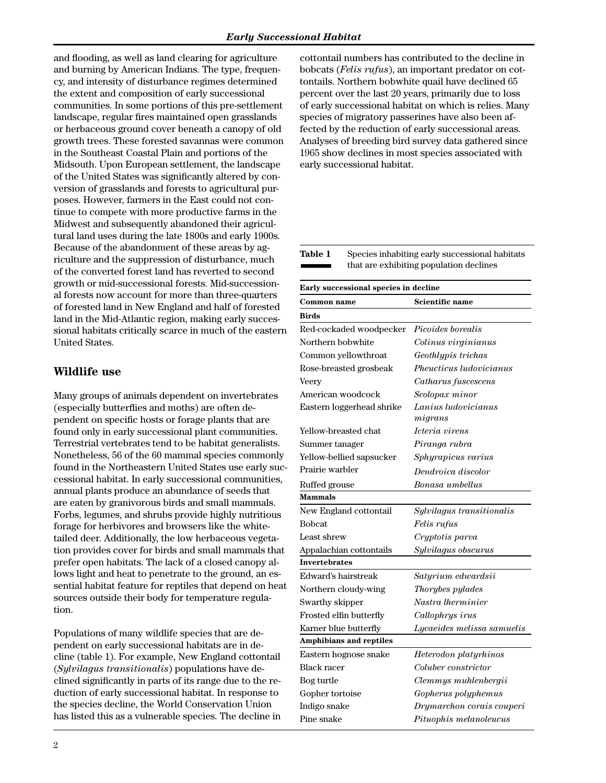and flooding, as well as land clearing for agriculture and burning by American Indians. The type, frequency, and intensity of disturbance regimes determined the extent and composition of early successional communities. In some portions of this pre-settlement landscape, regular fires maintained open grasslands or herbaceous ground cover beneath a canopy of old growth trees. These forested savannas were common in the Southeast Coastal Plain and portions of the Midsouth. Upon European settlement, the landscape of the United States was significantly altered by conversion of grasslands and forests to agricultural purposes. However, farmers in the East could not continue to compete with more productive farms in the Midwest and subsequently abandoned their agricultural land uses during the late 1800s and early 1900s. Because of the abandonment of these areas by agriculture and the suppression of disturbance, much of the converted forest land has reverted to second growth or mid-successional forests. Mid-successional forests now account for more than three-quarters of forested land in New England and half of forested land in the Mid-Atlantic region, making early successional habitats critically scarce in much of the eastern United States.

## **Wildlife use**

Many groups of animals dependent on invertebrates (especially butterflies and moths) are often dependent on specific hosts or forage plants that are found only in early successional plant communities. Terrestrial vertebrates tend to be habitat generalists. Nonetheless, 56 of the 60 mammal species commonly found in the Northeastern United States use early successional habitat. In early successional communities, annual plants produce an abundance of seeds that are eaten by granivorous birds and small mammals. Forbs, legumes, and shrubs provide highly nutritious forage for herbivores and browsers like the whitetailed deer. Additionally, the low herbaceous vegetation provides cover for birds and small mammals that prefer open habitats. The lack of a closed canopy allows light and heat to penetrate to the ground, an essential habitat feature for reptiles that depend on heat sources outside their body for temperature regulation.

Populations of many wildlife species that are dependent on early successional habitats are in decline (table 1). For example, New England cottontail (*Sylvilagus transitionalis*) populations have declined significantly in parts of its range due to the reduction of early successional habitat. In response to the species decline, the World Conservation Union has listed this as a vulnerable species. The decline in

 $\overline{2}$ 

cottontail numbers has contributed to the decline in bobcats (*Felis rufus*), an important predator on cottontails. Northern bobwhite quail have declined 65 percent over the last 20 years, primarily due to loss of early successional habitat on which is relies. Many species of migratory passerines have also been affected by the reduction of early successional areas. Analyses of breeding bird survey data gathered since 1965 show declines in most species associated with early successional habitat.

**Table 1** Species inhabiting early successional habitats that are exhibiting population declines

| Early successional species in decline |
|---------------------------------------|
|---------------------------------------|

| Common name                    | Scientific name            |
|--------------------------------|----------------------------|
| <b>Birds</b>                   |                            |
| Red-cockaded woodpecker        | <i>Picoides borealis</i>   |
| Northern bobwhite              | Colinus virginianus        |
| Common yellowthroat            | Geothlypis trichas         |
| Rose-breasted grosbeak         | Pheucticus ludovicianus    |
| Veery                          | Catharus fuscescens        |
| American woodcock              | Scolopax minor             |
| Eastern loggerhead shrike      | Lanius Iudovicianus        |
|                                | migrans                    |
| Yellow-breasted chat           | Icteria virens             |
| Summer tanager                 | Piranga rubra              |
| Yellow-bellied sapsucker       | Sphyrapicus varius         |
| Prairie warbler                | Dendroica discolor         |
| Ruffed grouse                  | Bonasa umbellus            |
| Mammals                        |                            |
| New England cottontail         | Sylvilagus transitionalis  |
| <b>Bobcat</b>                  | Felis rufus                |
| Least shrew                    | Cryptotis parva            |
| Appalachian cottontails        | Sylvilagus obscurus        |
| <b>Invertebrates</b>           |                            |
| Edward's hairstreak            | Satyrium edwardsii         |
| Northern cloudy-wing           | Thorybes pylades           |
| Swarthy skipper                | Nastra lherminier          |
| Frosted elfin butterfly        | Callophrys irus            |
| Karner blue butterfly          | Lycaeides melissa samuelis |
| <b>Amphibians and reptiles</b> |                            |
| Eastern hognose snake          | Heterodon platyrhinos      |
| Black racer                    | Coluber constrictor        |
| Bog turtle                     | Clemmys muhlenbergii       |
| Gopher tortoise                | Gopherus polyphemus        |
| Indigo snake                   | Drymarchon corais couperi  |
| Pine snake                     | Pituophis melanoleucus     |
|                                |                            |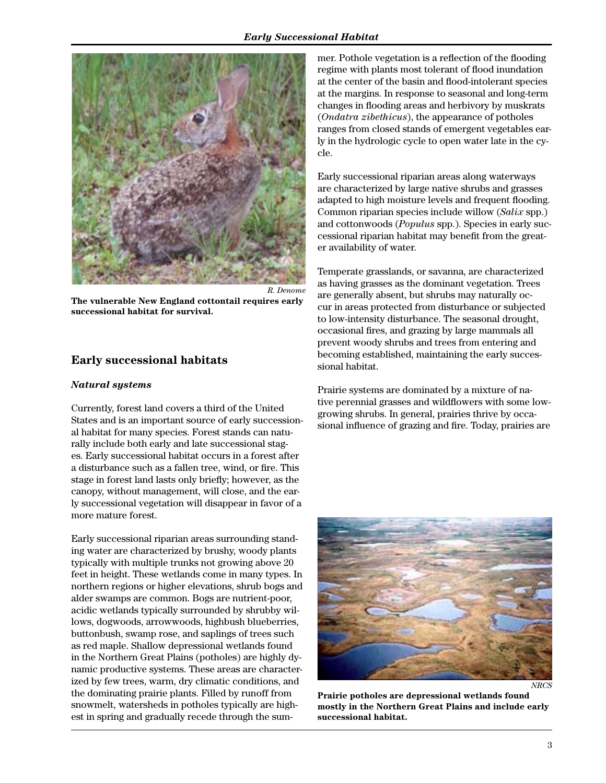

**The vulnerable New England cottontail requires early successional habitat for survival.**

#### **Early successional habitats**

#### *Natural systems*

Currently, forest land covers a third of the United States and is an important source of early successional habitat for many species. Forest stands can naturally include both early and late successional stages. Early successional habitat occurs in a forest after a disturbance such as a fallen tree, wind, or fire. This stage in forest land lasts only briefly; however, as the canopy, without management, will close, and the early successional vegetation will disappear in favor of a more mature forest.

Early successional riparian areas surrounding standing water are characterized by brushy, woody plants typically with multiple trunks not growing above 20 feet in height. These wetlands come in many types. In northern regions or higher elevations, shrub bogs and alder swamps are common. Bogs are nutrient-poor, acidic wetlands typically surrounded by shrubby willows, dogwoods, arrowwoods, highbush blueberries, buttonbush, swamp rose, and saplings of trees such as red maple. Shallow depressional wetlands found in the Northern Great Plains (potholes) are highly dynamic productive systems. These areas are characterized by few trees, warm, dry climatic conditions, and the dominating prairie plants. Filled by runoff from snowmelt, watersheds in potholes typically are highest in spring and gradually recede through the summer. Pothole vegetation is a reflection of the flooding regime with plants most tolerant of flood inundation at the center of the basin and flood-intolerant species at the margins. In response to seasonal and long-term changes in flooding areas and herbivory by muskrats (*Ondatra zibethicus*), the appearance of potholes ranges from closed stands of emergent vegetables early in the hydrologic cycle to open water late in the cycle.

Early successional riparian areas along waterways are characterized by large native shrubs and grasses adapted to high moisture levels and frequent flooding. Common riparian species include willow (*Salix* spp.) and cottonwoods (*Populus* spp.). Species in early successional riparian habitat may benefit from the greater availability of water.

Temperate grasslands, or savanna, are characterized as having grasses as the dominant vegetation. Trees are generally absent, but shrubs may naturally occur in areas protected from disturbance or subjected to low-intensity disturbance. The seasonal drought, occasional fires, and grazing by large mammals all prevent woody shrubs and trees from entering and becoming established, maintaining the early successional habitat.

Prairie systems are dominated by a mixture of native perennial grasses and wildflowers with some lowgrowing shrubs. In general, prairies thrive by occasional influence of grazing and fire. Today, prairies are



*NRCS*

**Prairie potholes are depressional wetlands found mostly in the Northern Great Plains and include early successional habitat.**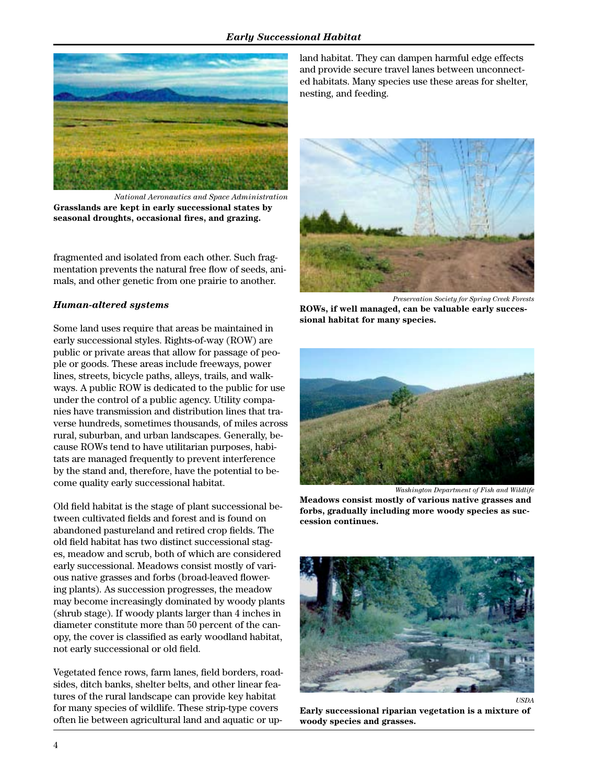#### *Early Successional Habitat*



*National Aeronautics and Space Administration* **Grasslands are kept in early successional states by seasonal droughts, occasional fires, and grazing.**

fragmented and isolated from each other. Such fragmentation prevents the natural free flow of seeds, animals, and other genetic from one prairie to another.

#### *Human-altered systems*

Some land uses require that areas be maintained in early successional styles. Rights-of-way (ROW) are public or private areas that allow for passage of people or goods. These areas include freeways, power lines, streets, bicycle paths, alleys, trails, and walkways. A public ROW is dedicated to the public for use under the control of a public agency. Utility companies have transmission and distribution lines that traverse hundreds, sometimes thousands, of miles across rural, suburban, and urban landscapes. Generally, because ROWs tend to have utilitarian purposes, habitats are managed frequently to prevent interference by the stand and, therefore, have the potential to become quality early successional habitat.

Old field habitat is the stage of plant successional between cultivated fields and forest and is found on abandoned pastureland and retired crop fields. The old field habitat has two distinct successional stages, meadow and scrub, both of which are considered early successional. Meadows consist mostly of various native grasses and forbs (broad-leaved flowering plants). As succession progresses, the meadow may become increasingly dominated by woody plants (shrub stage). If woody plants larger than 4 inches in diameter constitute more than 50 percent of the canopy, the cover is classified as early woodland habitat, not early successional or old field.

Vegetated fence rows, farm lanes, field borders, roadsides, ditch banks, shelter belts, and other linear features of the rural landscape can provide key habitat for many species of wildlife. These strip-type covers often lie between agricultural land and aquatic or up-

land habitat. They can dampen harmful edge effects and provide secure travel lanes between unconnected habitats. Many species use these areas for shelter, nesting, and feeding.



*Preservation Society for Spring Creek Forests*

**ROWs, if well managed, can be valuable early successional habitat for many species.**



*Washington Department of Fish and Wildlife*

**Meadows consist mostly of various native grasses and forbs, gradually including more woody species as succession continues.**



**Early successional riparian vegetation is a mixture of woody species and grasses.**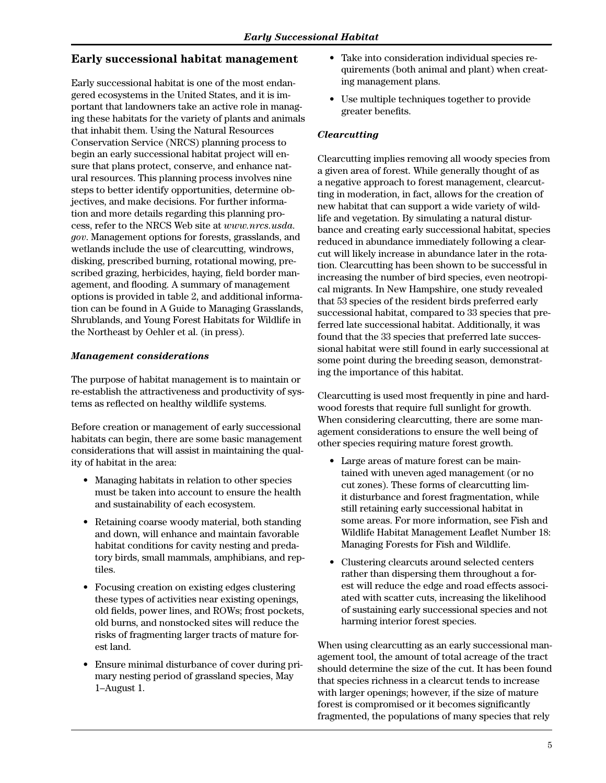### **Early successional habitat management**

Early successional habitat is one of the most endangered ecosystems in the United States, and it is important that landowners take an active role in managing these habitats for the variety of plants and animals that inhabit them. Using the Natural Resources Conservation Service (NRCS) planning process to begin an early successional habitat project will ensure that plans protect, conserve, and enhance natural resources. This planning process involves nine steps to better identify opportunities, determine objectives, and make decisions. For further information and more details regarding this planning process, refer to the NRCS Web site at *www.nrcs.usda. gov*. Management options for forests, grasslands, and wetlands include the use of clearcutting, windrows, disking, prescribed burning, rotational mowing, prescribed grazing, herbicides, haying, field border management, and flooding. A summary of management options is provided in table 2, and additional information can be found in A Guide to Managing Grasslands, Shrublands, and Young Forest Habitats for Wildlife in the Northeast by Oehler et al. (in press).

#### *Management considerations*

The purpose of habitat management is to maintain or re-establish the attractiveness and productivity of systems as reflected on healthy wildlife systems.

Before creation or management of early successional habitats can begin, there are some basic management considerations that will assist in maintaining the quality of habitat in the area:

- Managing habitats in relation to other species must be taken into account to ensure the health and sustainability of each ecosystem.
- Retaining coarse woody material, both standing and down, will enhance and maintain favorable habitat conditions for cavity nesting and predatory birds, small mammals, amphibians, and reptiles.
- Focusing creation on existing edges clustering these types of activities near existing openings, old fields, power lines, and ROWs; frost pockets, old burns, and nonstocked sites will reduce the risks of fragmenting larger tracts of mature forest land.
- Ensure minimal disturbance of cover during primary nesting period of grassland species, May 1–August 1.
- Take into consideration individual species requirements (both animal and plant) when creating management plans.
- Use multiple techniques together to provide greater benefits.

#### *Clearcutting*

Clearcutting implies removing all woody species from a given area of forest. While generally thought of as a negative approach to forest management, clearcutting in moderation, in fact, allows for the creation of new habitat that can support a wide variety of wildlife and vegetation. By simulating a natural disturbance and creating early successional habitat, species reduced in abundance immediately following a clearcut will likely increase in abundance later in the rotation. Clearcutting has been shown to be successful in increasing the number of bird species, even neotropical migrants. In New Hampshire, one study revealed that 53 species of the resident birds preferred early successional habitat, compared to 33 species that preferred late successional habitat. Additionally, it was found that the 33 species that preferred late successional habitat were still found in early successional at some point during the breeding season, demonstrating the importance of this habitat.

Clearcutting is used most frequently in pine and hardwood forests that require full sunlight for growth. When considering clearcutting, there are some management considerations to ensure the well being of other species requiring mature forest growth.

- Large areas of mature forest can be maintained with uneven aged management (or no cut zones). These forms of clearcutting limit disturbance and forest fragmentation, while still retaining early successional habitat in some areas. For more information, see Fish and Wildlife Habitat Management Leaflet Number 18: Managing Forests for Fish and Wildlife.
- Clustering clearcuts around selected centers rather than dispersing them throughout a forest will reduce the edge and road effects associated with scatter cuts, increasing the likelihood of sustaining early successional species and not harming interior forest species.

When using clearcutting as an early successional management tool, the amount of total acreage of the tract should determine the size of the cut. It has been found that species richness in a clearcut tends to increase with larger openings; however, if the size of mature forest is compromised or it becomes significantly fragmented, the populations of many species that rely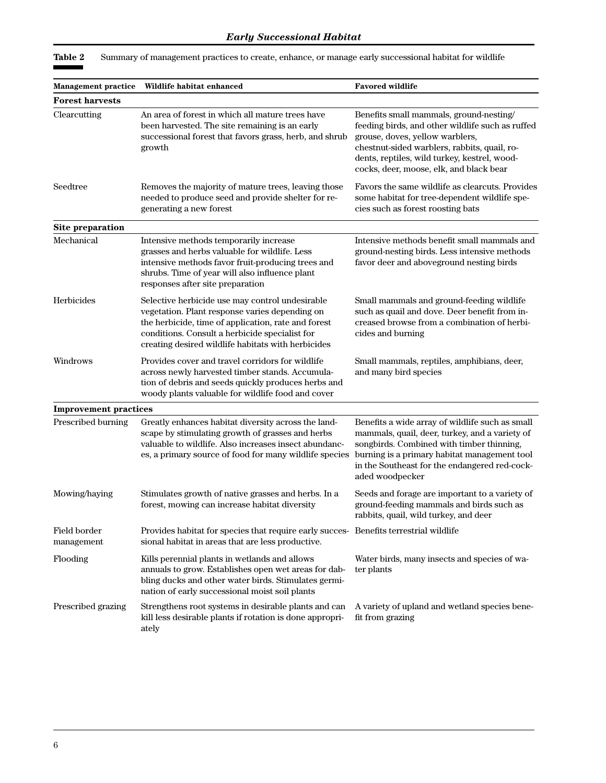| Management practice          | Wildlife habitat enhanced                                                                                                                                                                                                                                        | <b>Favored wildlife</b>                                                                                                                                                                                                                                                   |
|------------------------------|------------------------------------------------------------------------------------------------------------------------------------------------------------------------------------------------------------------------------------------------------------------|---------------------------------------------------------------------------------------------------------------------------------------------------------------------------------------------------------------------------------------------------------------------------|
| <b>Forest harvests</b>       |                                                                                                                                                                                                                                                                  |                                                                                                                                                                                                                                                                           |
| Clearcutting                 | An area of forest in which all mature trees have<br>been harvested. The site remaining is an early<br>successional forest that favors grass, herb, and shrub<br>growth                                                                                           | Benefits small mammals, ground-nesting/<br>feeding birds, and other wildlife such as ruffed<br>grouse, doves, yellow warblers,<br>chestnut-sided warblers, rabbits, quail, ro-<br>dents, reptiles, wild turkey, kestrel, wood-<br>cocks, deer, moose, elk, and black bear |
| Seedtree                     | Removes the majority of mature trees, leaving those<br>needed to produce seed and provide shelter for re-<br>generating a new forest                                                                                                                             | Favors the same wildlife as clearcuts. Provides<br>some habitat for tree-dependent wildlife spe-<br>cies such as forest roosting bats                                                                                                                                     |
| Site preparation             |                                                                                                                                                                                                                                                                  |                                                                                                                                                                                                                                                                           |
| Mechanical                   | Intensive methods temporarily increase<br>grasses and herbs valuable for wildlife. Less<br>intensive methods favor fruit-producing trees and<br>shrubs. Time of year will also influence plant<br>responses after site preparation                               | Intensive methods benefit small mammals and<br>ground-nesting birds. Less intensive methods<br>favor deer and above ground nesting birds                                                                                                                                  |
| Herbicides                   | Selective herbicide use may control undesirable<br>vegetation. Plant response varies depending on<br>the herbicide, time of application, rate and forest<br>conditions. Consult a herbicide specialist for<br>creating desired wildlife habitats with herbicides | Small mammals and ground-feeding wildlife<br>such as quail and dove. Deer benefit from in-<br>creased browse from a combination of herbi-<br>cides and burning                                                                                                            |
| Windrows                     | Provides cover and travel corridors for wildlife<br>across newly harvested timber stands. Accumula-<br>tion of debris and seeds quickly produces herbs and<br>woody plants valuable for wildlife food and cover                                                  | Small mammals, reptiles, amphibians, deer,<br>and many bird species                                                                                                                                                                                                       |
| <b>Improvement practices</b> |                                                                                                                                                                                                                                                                  |                                                                                                                                                                                                                                                                           |
| Prescribed burning           | Greatly enhances habitat diversity across the land-<br>scape by stimulating growth of grasses and herbs<br>valuable to wildlife. Also increases insect abundanc-<br>es, a primary source of food for many wildlife species                                       | Benefits a wide array of wildlife such as small<br>mammals, quail, deer, turkey, and a variety of<br>songbirds. Combined with timber thinning,<br>burning is a primary habitat management tool<br>in the Southeast for the endangered red-cock-<br>aded woodpecker        |
| Mowing/haying                | Stimulates growth of native grasses and herbs. In a<br>forest, mowing can increase habitat diversity                                                                                                                                                             | Seeds and forage are important to a variety of<br>ground-feeding mammals and birds such as<br>rabbits, quail, wild turkey, and deer                                                                                                                                       |
| Field border<br>management   | Provides habitat for species that require early succes- Benefits terrestrial wildlife<br>sional habitat in areas that are less productive.                                                                                                                       |                                                                                                                                                                                                                                                                           |
| Flooding                     | Kills perennial plants in wetlands and allows<br>annuals to grow. Establishes open wet areas for dab-<br>bling ducks and other water birds. Stimulates germi-<br>nation of early successional moist soil plants                                                  | Water birds, many insects and species of wa-<br>ter plants                                                                                                                                                                                                                |
| Prescribed grazing           | Strengthens root systems in desirable plants and can<br>kill less desirable plants if rotation is done appropri-<br>ately                                                                                                                                        | A variety of upland and wetland species bene-<br>fit from grazing                                                                                                                                                                                                         |

**Table 2** Summary of management practices to create, enhance, or manage early successional habitat for wildlife

٠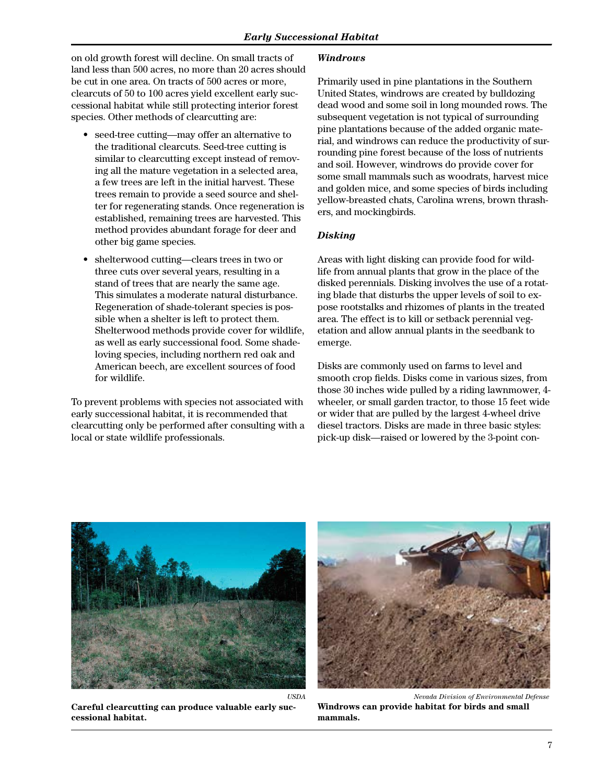on old growth forest will decline. On small tracts of land less than 500 acres, no more than 20 acres should be cut in one area. On tracts of 500 acres or more, clearcuts of 50 to 100 acres yield excellent early successional habitat while still protecting interior forest species. Other methods of clearcutting are:

- seed-tree cutting—may offer an alternative to the traditional clearcuts. Seed-tree cutting is similar to clearcutting except instead of removing all the mature vegetation in a selected area, a few trees are left in the initial harvest. These trees remain to provide a seed source and shelter for regenerating stands. Once regeneration is established, remaining trees are harvested. This method provides abundant forage for deer and other big game species.
- shelterwood cutting—clears trees in two or three cuts over several years, resulting in a stand of trees that are nearly the same age. This simulates a moderate natural disturbance. Regeneration of shade-tolerant species is possible when a shelter is left to protect them. Shelterwood methods provide cover for wildlife, as well as early successional food. Some shadeloving species, including northern red oak and American beech, are excellent sources of food for wildlife.

To prevent problems with species not associated with early successional habitat, it is recommended that clearcutting only be performed after consulting with a local or state wildlife professionals.

#### *Windrows*

Primarily used in pine plantations in the Southern United States, windrows are created by bulldozing dead wood and some soil in long mounded rows. The subsequent vegetation is not typical of surrounding pine plantations because of the added organic material, and windrows can reduce the productivity of surrounding pine forest because of the loss of nutrients and soil. However, windrows do provide cover for some small mammals such as woodrats, harvest mice and golden mice, and some species of birds including yellow-breasted chats, Carolina wrens, brown thrashers, and mockingbirds.

#### *Disking*

Areas with light disking can provide food for wildlife from annual plants that grow in the place of the disked perennials. Disking involves the use of a rotating blade that disturbs the upper levels of soil to expose rootstalks and rhizomes of plants in the treated area. The effect is to kill or setback perennial vegetation and allow annual plants in the seedbank to emerge.

Disks are commonly used on farms to level and smooth crop fields. Disks come in various sizes, from those 30 inches wide pulled by a riding lawnmower, 4 wheeler, or small garden tractor, to those 15 feet wide or wider that are pulled by the largest 4-wheel drive diesel tractors. Disks are made in three basic styles: pick-up disk—raised or lowered by the 3-point con-



**Careful clearcutting can produce valuable early successional habitat.**



*Nevada Division of Environmental Defense*

**Windrows can provide habitat for birds and small mammals.**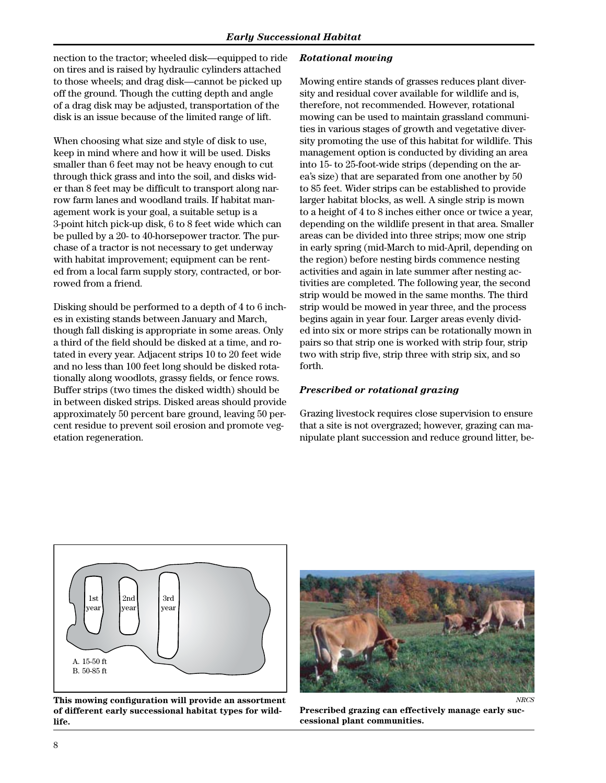nection to the tractor; wheeled disk—equipped to ride on tires and is raised by hydraulic cylinders attached to those wheels; and drag disk—cannot be picked up off the ground. Though the cutting depth and angle of a drag disk may be adjusted, transportation of the disk is an issue because of the limited range of lift.

When choosing what size and style of disk to use, keep in mind where and how it will be used. Disks smaller than 6 feet may not be heavy enough to cut through thick grass and into the soil, and disks wider than 8 feet may be difficult to transport along narrow farm lanes and woodland trails. If habitat management work is your goal, a suitable setup is a 3-point hitch pick-up disk, 6 to 8 feet wide which can be pulled by a 20- to 40-horsepower tractor. The purchase of a tractor is not necessary to get underway with habitat improvement; equipment can be rented from a local farm supply story, contracted, or borrowed from a friend.

Disking should be performed to a depth of 4 to 6 inches in existing stands between January and March, though fall disking is appropriate in some areas. Only a third of the field should be disked at a time, and rotated in every year. Adjacent strips 10 to 20 feet wide and no less than 100 feet long should be disked rotationally along woodlots, grassy fields, or fence rows. Buffer strips (two times the disked width) should be in between disked strips. Disked areas should provide approximately 50 percent bare ground, leaving 50 percent residue to prevent soil erosion and promote vegetation regeneration.

#### *Rotational mowing*

Mowing entire stands of grasses reduces plant diversity and residual cover available for wildlife and is, therefore, not recommended. However, rotational mowing can be used to maintain grassland communities in various stages of growth and vegetative diversity promoting the use of this habitat for wildlife. This management option is conducted by dividing an area into 15- to 25-foot-wide strips (depending on the area's size) that are separated from one another by 50 to 85 feet. Wider strips can be established to provide larger habitat blocks, as well. A single strip is mown to a height of 4 to 8 inches either once or twice a year, depending on the wildlife present in that area. Smaller areas can be divided into three strips; mow one strip in early spring (mid-March to mid-April, depending on the region) before nesting birds commence nesting activities and again in late summer after nesting activities are completed. The following year, the second strip would be mowed in the same months. The third strip would be mowed in year three, and the process begins again in year four. Larger areas evenly divided into six or more strips can be rotationally mown in pairs so that strip one is worked with strip four, strip two with strip five, strip three with strip six, and so forth.

#### *Prescribed or rotational grazing*

Grazing livestock requires close supervision to ensure that a site is not overgrazed; however, grazing can manipulate plant succession and reduce ground litter, be-



**This mowing configuration will provide an assortment of different early successional habitat types for wildlife.**



**Prescribed grazing can effectively manage early successional plant communities.**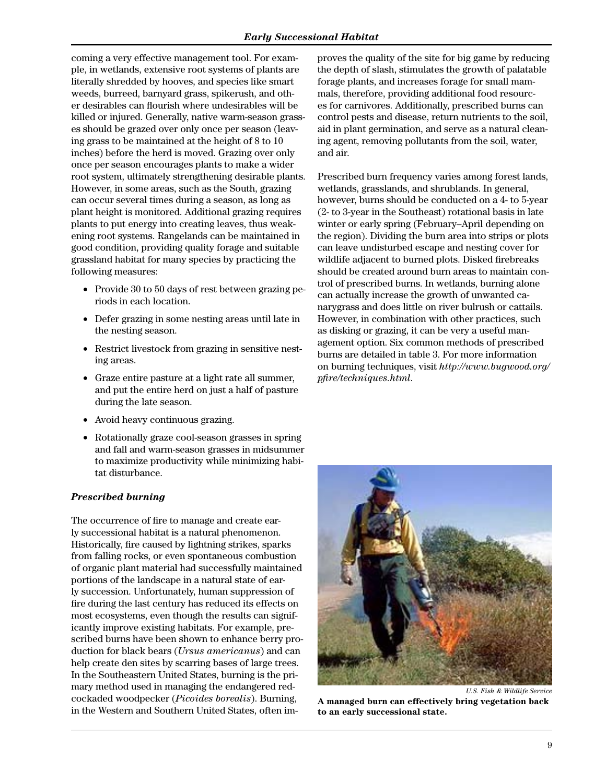coming a very effective management tool. For example, in wetlands, extensive root systems of plants are literally shredded by hooves, and species like smart weeds, burreed, barnyard grass, spikerush, and other desirables can flourish where undesirables will be killed or injured. Generally, native warm-season grasses should be grazed over only once per season (leaving grass to be maintained at the height of 8 to 10 inches) before the herd is moved. Grazing over only once per season encourages plants to make a wider root system, ultimately strengthening desirable plants. However, in some areas, such as the South, grazing can occur several times during a season, as long as plant height is monitored. Additional grazing requires plants to put energy into creating leaves, thus weakening root systems. Rangelands can be maintained in good condition, providing quality forage and suitable grassland habitat for many species by practicing the following measures:

- Provide 30 to 50 days of rest between grazing periods in each location.
- • Defer grazing in some nesting areas until late in the nesting season.
- Restrict livestock from grazing in sensitive nesting areas.
- • Graze entire pasture at a light rate all summer, and put the entire herd on just a half of pasture during the late season.
- Avoid heavy continuous grazing.
- Rotationally graze cool-season grasses in spring and fall and warm-season grasses in midsummer to maximize productivity while minimizing habitat disturbance.

#### *Prescribed burning*

The occurrence of fire to manage and create early successional habitat is a natural phenomenon. Historically, fire caused by lightning strikes, sparks from falling rocks, or even spontaneous combustion of organic plant material had successfully maintained portions of the landscape in a natural state of early succession. Unfortunately, human suppression of fire during the last century has reduced its effects on most ecosystems, even though the results can significantly improve existing habitats. For example, prescribed burns have been shown to enhance berry production for black bears (*Ursus americanus*) and can help create den sites by scarring bases of large trees. In the Southeastern United States, burning is the primary method used in managing the endangered redcockaded woodpecker (*Picoides borealis*). Burning, in the Western and Southern United States, often improves the quality of the site for big game by reducing the depth of slash, stimulates the growth of palatable forage plants, and increases forage for small mammals, therefore, providing additional food resources for carnivores. Additionally, prescribed burns can control pests and disease, return nutrients to the soil, aid in plant germination, and serve as a natural cleaning agent, removing pollutants from the soil, water, and air.

Prescribed burn frequency varies among forest lands, wetlands, grasslands, and shrublands. In general, however, burns should be conducted on a 4- to 5-year (2- to 3-year in the Southeast) rotational basis in late winter or early spring (February–April depending on the region). Dividing the burn area into strips or plots can leave undisturbed escape and nesting cover for wildlife adjacent to burned plots. Disked firebreaks should be created around burn areas to maintain control of prescribed burns. In wetlands, burning alone can actually increase the growth of unwanted canarygrass and does little on river bulrush or cattails. However, in combination with other practices, such as disking or grazing, it can be very a useful management option. Six common methods of prescribed burns are detailed in table 3. For more information on burning techniques, visit *http://www.bugwood.org/ pfire/techniques.html*.



*U.S. Fish & Wildlife Service*

**A managed burn can effectively bring vegetation back to an early successional state.**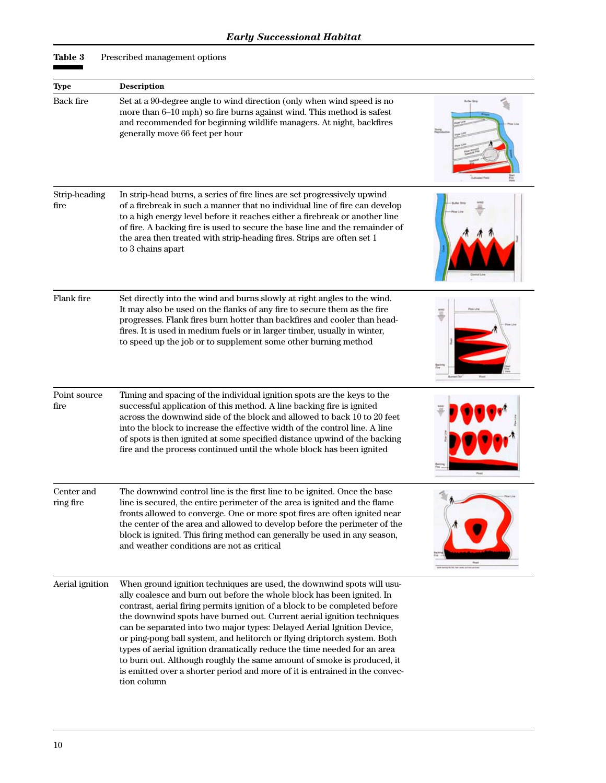**Table 3** Prescribed management options

|                          | <b>Description</b>                                                                                                                                                                                                                                                                                                                                                                                                                                                                                                                                                                                                                                                                                                 |  |
|--------------------------|--------------------------------------------------------------------------------------------------------------------------------------------------------------------------------------------------------------------------------------------------------------------------------------------------------------------------------------------------------------------------------------------------------------------------------------------------------------------------------------------------------------------------------------------------------------------------------------------------------------------------------------------------------------------------------------------------------------------|--|
| <b>Type</b><br>Back fire | Set at a 90-degree angle to wind direction (only when wind speed is no<br>more than 6-10 mph) so fire burns against wind. This method is safest<br>and recommended for beginning wildlife managers. At night, backfires<br>generally move 66 feet per hour                                                                                                                                                                                                                                                                                                                                                                                                                                                         |  |
| Strip-heading<br>fire    | In strip-head burns, a series of fire lines are set progressively upwind<br>of a firebreak in such a manner that no individual line of fire can develop<br>to a high energy level before it reaches either a firebreak or another line<br>of fire. A backing fire is used to secure the base line and the remainder of<br>the area then treated with strip-heading fires. Strips are often set 1<br>to 3 chains apart                                                                                                                                                                                                                                                                                              |  |
| Flank fire               | Set directly into the wind and burns slowly at right angles to the wind.<br>It may also be used on the flanks of any fire to secure them as the fire<br>progresses. Flank fires burn hotter than backfires and cooler than head-<br>fires. It is used in medium fuels or in larger timber, usually in winter,<br>to speed up the job or to supplement some other burning method                                                                                                                                                                                                                                                                                                                                    |  |
| Point source<br>fire     | Timing and spacing of the individual ignition spots are the keys to the<br>successful application of this method. A line backing fire is ignited<br>across the downwind side of the block and allowed to back 10 to 20 feet<br>into the block to increase the effective width of the control line. A line<br>of spots is then ignited at some specified distance upwind of the backing<br>fire and the process continued until the whole block has been ignited                                                                                                                                                                                                                                                    |  |
| Center and<br>ring fire  | The downwind control line is the first line to be ignited. Once the base<br>line is secured, the entire perimeter of the area is ignited and the flame<br>fronts allowed to converge. One or more spot fires are often ignited near<br>the center of the area and allowed to develop before the perimeter of the<br>block is ignited. This firing method can generally be used in any season,<br>and weather conditions are not as critical                                                                                                                                                                                                                                                                        |  |
| Aerial ignition          | When ground ignition techniques are used, the downwind spots will usu-<br>ally coalesce and burn out before the whole block has been ignited. In<br>contrast, aerial firing permits ignition of a block to be completed before<br>the downwind spots have burned out. Current aerial ignition techniques<br>can be separated into two major types: Delayed Aerial Ignition Device,<br>or ping-pong ball system, and helitorch or flying driptorch system. Both<br>types of aerial ignition dramatically reduce the time needed for an area<br>to burn out. Although roughly the same amount of smoke is produced, it<br>is emitted over a shorter period and more of it is entrained in the convec-<br>tion column |  |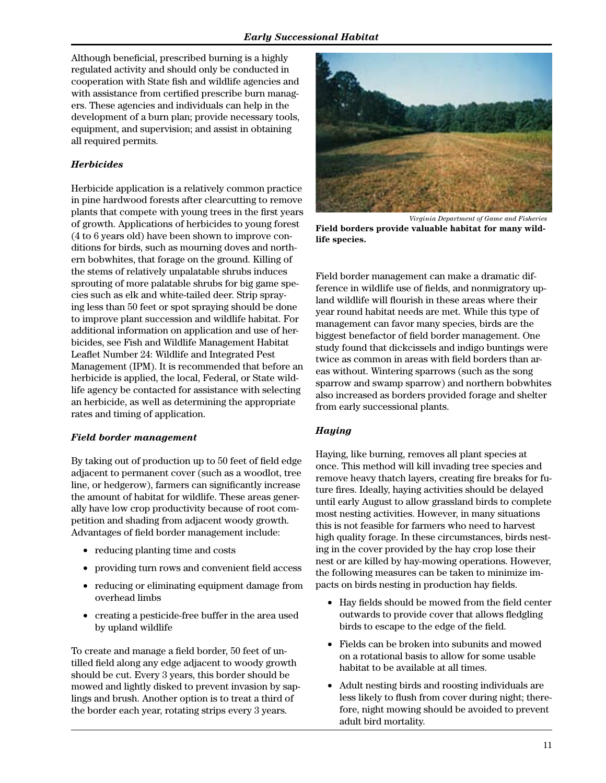Although beneficial, prescribed burning is a highly regulated activity and should only be conducted in cooperation with State fish and wildlife agencies and with assistance from certified prescribe burn managers. These agencies and individuals can help in the development of a burn plan; provide necessary tools, equipment, and supervision; and assist in obtaining all required permits.

#### *Herbicides*

Herbicide application is a relatively common practice in pine hardwood forests after clearcutting to remove plants that compete with young trees in the first years of growth. Applications of herbicides to young forest (4 to 6 years old) have been shown to improve conditions for birds, such as mourning doves and northern bobwhites, that forage on the ground. Killing of the stems of relatively unpalatable shrubs induces sprouting of more palatable shrubs for big game species such as elk and white-tailed deer. Strip spraying less than 50 feet or spot spraying should be done to improve plant succession and wildlife habitat. For additional information on application and use of herbicides, see Fish and Wildlife Management Habitat Leaflet Number 24: Wildlife and Integrated Pest Management (IPM). It is recommended that before an herbicide is applied, the local, Federal, or State wildlife agency be contacted for assistance with selecting an herbicide, as well as determining the appropriate rates and timing of application.

#### *Field border management*

By taking out of production up to 50 feet of field edge adjacent to permanent cover (such as a woodlot, tree line, or hedgerow), farmers can significantly increase the amount of habitat for wildlife. These areas generally have low crop productivity because of root competition and shading from adjacent woody growth. Advantages of field border management include:

- reducing planting time and costs
- providing turn rows and convenient field access
- • reducing or eliminating equipment damage from overhead limbs
- • creating a pesticide-free buffer in the area used by upland wildlife

To create and manage a field border, 50 feet of untilled field along any edge adjacent to woody growth should be cut. Every 3 years, this border should be mowed and lightly disked to prevent invasion by saplings and brush. Another option is to treat a third of the border each year, rotating strips every 3 years.



*Virginia Department of Game and Fisheries* **Field borders provide valuable habitat for many wildlife species.**

Field border management can make a dramatic difference in wildlife use of fields, and nonmigratory upland wildlife will flourish in these areas where their year round habitat needs are met. While this type of management can favor many species, birds are the biggest benefactor of field border management. One study found that dickcissels and indigo buntings were twice as common in areas with field borders than areas without. Wintering sparrows (such as the song sparrow and swamp sparrow) and northern bobwhites also increased as borders provided forage and shelter from early successional plants.

#### *Haying*

Haying, like burning, removes all plant species at once. This method will kill invading tree species and remove heavy thatch layers, creating fire breaks for future fires. Ideally, haying activities should be delayed until early August to allow grassland birds to complete most nesting activities. However, in many situations this is not feasible for farmers who need to harvest high quality forage. In these circumstances, birds nesting in the cover provided by the hay crop lose their nest or are killed by hay-mowing operations. However, the following measures can be taken to minimize impacts on birds nesting in production hay fields.

- Hay fields should be mowed from the field center outwards to provide cover that allows fledgling birds to escape to the edge of the field.
- Fields can be broken into subunits and mowed on a rotational basis to allow for some usable habitat to be available at all times.
- • Adult nesting birds and roosting individuals are less likely to flush from cover during night; therefore, night mowing should be avoided to prevent adult bird mortality.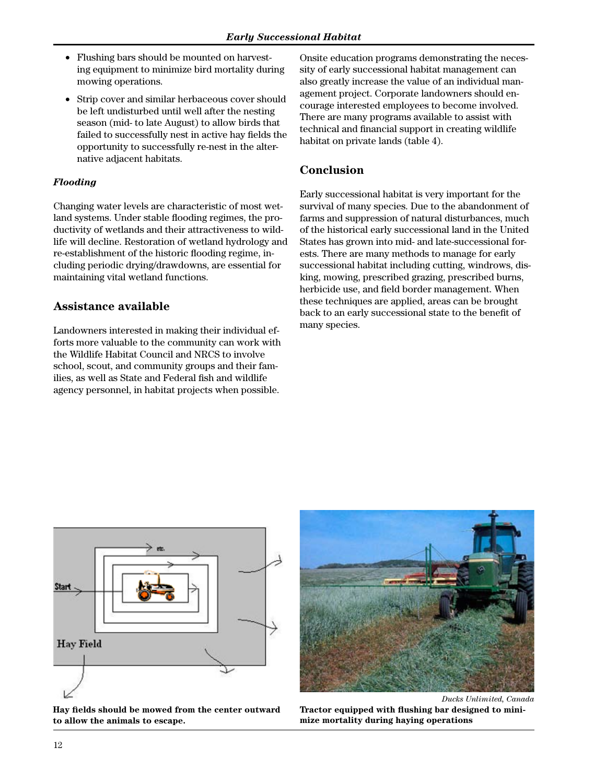- Flushing bars should be mounted on harvesting equipment to minimize bird mortality during mowing operations.
- Strip cover and similar herbaceous cover should be left undisturbed until well after the nesting season (mid- to late August) to allow birds that failed to successfully nest in active hay fields the opportunity to successfully re-nest in the alternative adjacent habitats.

### *Flooding*

Changing water levels are characteristic of most wetland systems. Under stable flooding regimes, the productivity of wetlands and their attractiveness to wildlife will decline. Restoration of wetland hydrology and re-establishment of the historic flooding regime, including periodic drying/drawdowns, are essential for maintaining vital wetland functions.

# **Assistance available**

Landowners interested in making their individual efforts more valuable to the community can work with the Wildlife Habitat Council and NRCS to involve school, scout, and community groups and their families, as well as State and Federal fish and wildlife agency personnel, in habitat projects when possible.

Onsite education programs demonstrating the necessity of early successional habitat management can also greatly increase the value of an individual management project. Corporate landowners should encourage interested employees to become involved. There are many programs available to assist with technical and financial support in creating wildlife habitat on private lands (table 4).

# **Conclusion**

Early successional habitat is very important for the survival of many species. Due to the abandonment of farms and suppression of natural disturbances, much of the historical early successional land in the United States has grown into mid- and late-successional forests. There are many methods to manage for early successional habitat including cutting, windrows, disking, mowing, prescribed grazing, prescribed burns, herbicide use, and field border management. When these techniques are applied, areas can be brought back to an early successional state to the benefit of many species.



**Hay fields should be mowed from the center outward to allow the animals to escape.**



*Ducks Unlimited, Canada* **Tractor equipped with flushing bar designed to minimize mortality during haying operations**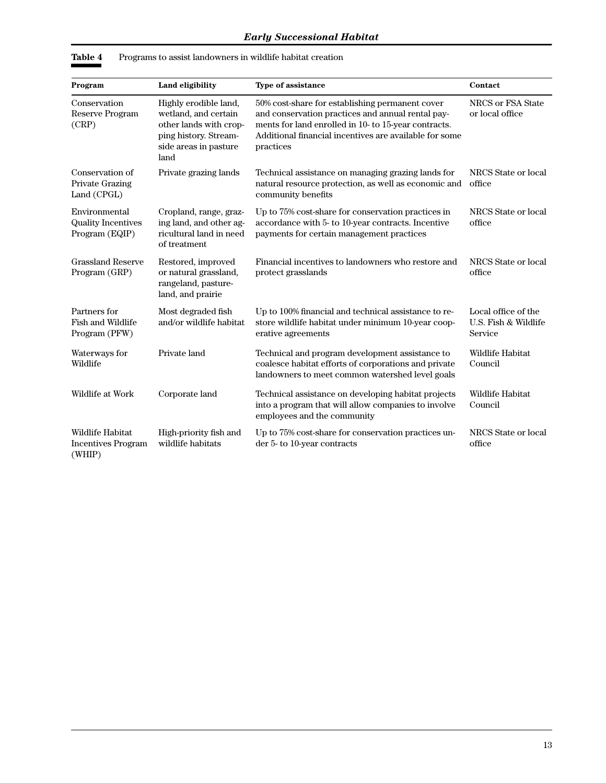| Program                                                      | Land eligibility                                                                                                                  | Type of assistance                                                                                                                                                                                                                  | Contact                                                |
|--------------------------------------------------------------|-----------------------------------------------------------------------------------------------------------------------------------|-------------------------------------------------------------------------------------------------------------------------------------------------------------------------------------------------------------------------------------|--------------------------------------------------------|
| Conservation<br>Reserve Program<br>(CRP)                     | Highly erodible land,<br>wetland, and certain<br>other lands with crop-<br>ping history. Stream-<br>side areas in pasture<br>land | 50% cost-share for establishing permanent cover<br>and conservation practices and annual rental pay-<br>ments for land enrolled in 10- to 15-year contracts.<br>Additional financial incentives are available for some<br>practices | NRCS or FSA State<br>or local office                   |
| Conservation of<br>Private Grazing<br>Land (CPGL)            | Private grazing lands                                                                                                             | Technical assistance on managing grazing lands for<br>natural resource protection, as well as economic and<br>community benefits                                                                                                    | NRCS State or local<br>office                          |
| Environmental<br><b>Quality Incentives</b><br>Program (EQIP) | Cropland, range, graz-<br>ing land, and other ag-<br>ricultural land in need<br>of treatment                                      | Up to 75% cost-share for conservation practices in<br>accordance with 5- to 10-year contracts. Incentive<br>payments for certain management practices                                                                               | NRCS State or local<br>office                          |
| <b>Grassland Reserve</b><br>Program (GRP)                    | Restored, improved<br>or natural grassland,<br>rangeland, pasture-<br>land, and prairie                                           | Financial incentives to landowners who restore and<br>protect grasslands                                                                                                                                                            | NRCS State or local<br>office                          |
| Partners for<br><b>Fish and Wildlife</b><br>Program (PFW)    | Most degraded fish<br>and/or wildlife habitat                                                                                     | Up to 100% financial and technical assistance to re-<br>store wildlife habitat under minimum 10-year coop-<br>erative agreements                                                                                                    | Local office of the<br>U.S. Fish & Wildlife<br>Service |
| Waterways for<br>Wildlife                                    | Private land                                                                                                                      | Technical and program development assistance to<br>coalesce habitat efforts of corporations and private<br>landowners to meet common watershed level goals                                                                          | Wildlife Habitat<br>Council                            |
| Wildlife at Work                                             | Corporate land                                                                                                                    | Technical assistance on developing habitat projects<br>into a program that will allow companies to involve<br>employees and the community                                                                                           | Wildlife Habitat<br>Council                            |
| Wildlife Habitat<br><b>Incentives Program</b><br>(WHIP)      | High-priority fish and<br>wildlife habitats                                                                                       | Up to 75% cost-share for conservation practices un-<br>der 5- to 10-year contracts                                                                                                                                                  | NRCS State or local<br>office                          |

**Table 4** Programs to assist landowners in wildlife habitat creation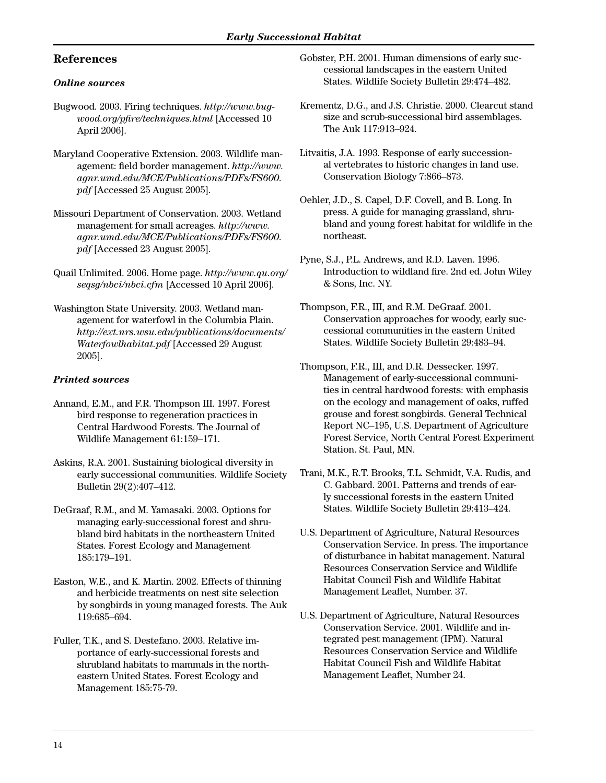# **References**

#### *Online sources*

- Bugwood. 2003. Firing techniques. *http://www.bugwood.org/pfire/techniques.html* [Accessed 10 April 2006].
- Maryland Cooperative Extension. 2003. Wildlife management: field border management. *http://www. agnr.umd.edu/MCE/Publications/PDFs/FS600. pdf* [Accessed 25 August 2005].
- Missouri Department of Conservation. 2003. Wetland management for small acreages. *http://www. agnr.umd.edu/MCE/Publications/PDFs/FS600. pdf* [Accessed 23 August 2005].
- Quail Unlimited. 2006. Home page. *http://www.qu.org/ seqsg/nbci/nbci.cfm* [Accessed 10 April 2006].
- Washington State University. 2003. Wetland management for waterfowl in the Columbia Plain. *http://ext.nrs.wsu.edu/publications/documents/ Waterfowlhabitat.pdf* [Accessed 29 August 2005].

## *Printed sources*

- Annand, E.M., and F.R. Thompson III. 1997. Forest bird response to regeneration practices in Central Hardwood Forests. The Journal of Wildlife Management 61:159–171.
- Askins, R.A. 2001. Sustaining biological diversity in early successional communities. Wildlife Society Bulletin 29(2):407–412.
- DeGraaf, R.M., and M. Yamasaki. 2003. Options for managing early-successional forest and shrubland bird habitats in the northeastern United States. Forest Ecology and Management 185:179–191.
- Easton, W.E., and K. Martin. 2002. Effects of thinning and herbicide treatments on nest site selection by songbirds in young managed forests. The Auk 119:685–694.
- Fuller, T.K., and S. Destefano. 2003. Relative importance of early-successional forests and shrubland habitats to mammals in the northeastern United States. Forest Ecology and Management 185:75-79.
- Gobster, P.H. 2001. Human dimensions of early successional landscapes in the eastern United States. Wildlife Society Bulletin 29:474–482.
- Krementz, D.G., and J.S. Christie. 2000. Clearcut stand size and scrub-successional bird assemblages. The Auk 117:913–924.
- Litvaitis, J.A. 1993. Response of early successional vertebrates to historic changes in land use. Conservation Biology 7:866–873.
- Oehler, J.D., S. Capel, D.F. Covell, and B. Long. In press. A guide for managing grassland, shrubland and young forest habitat for wildlife in the northeast.
- Pyne, S.J., P.L. Andrews, and R.D. Laven. 1996. Introduction to wildland fire. 2nd ed. John Wiley & Sons, Inc. NY.
- Thompson, F.R., III, and R.M. DeGraaf. 2001. Conservation approaches for woody, early successional communities in the eastern United States. Wildlife Society Bulletin 29:483–94.
- Thompson, F.R., III, and D.R. Dessecker. 1997. Management of early-successional communities in central hardwood forests: with emphasis on the ecology and management of oaks, ruffed grouse and forest songbirds. General Technical Report NC–195, U.S. Department of Agriculture Forest Service, North Central Forest Experiment Station. St. Paul, MN.
- Trani, M.K., R.T. Brooks, T.L. Schmidt, V.A. Rudis, and C. Gabbard. 2001. Patterns and trends of early successional forests in the eastern United States. Wildlife Society Bulletin 29:413–424.
- U.S. Department of Agriculture, Natural Resources Conservation Service. In press. The importance of disturbance in habitat management. Natural Resources Conservation Service and Wildlife Habitat Council Fish and Wildlife Habitat Management Leaflet, Number. 37.
- U.S. Department of Agriculture, Natural Resources Conservation Service. 2001. Wildlife and integrated pest management (IPM). Natural Resources Conservation Service and Wildlife Habitat Council Fish and Wildlife Habitat Management Leaflet, Number 24.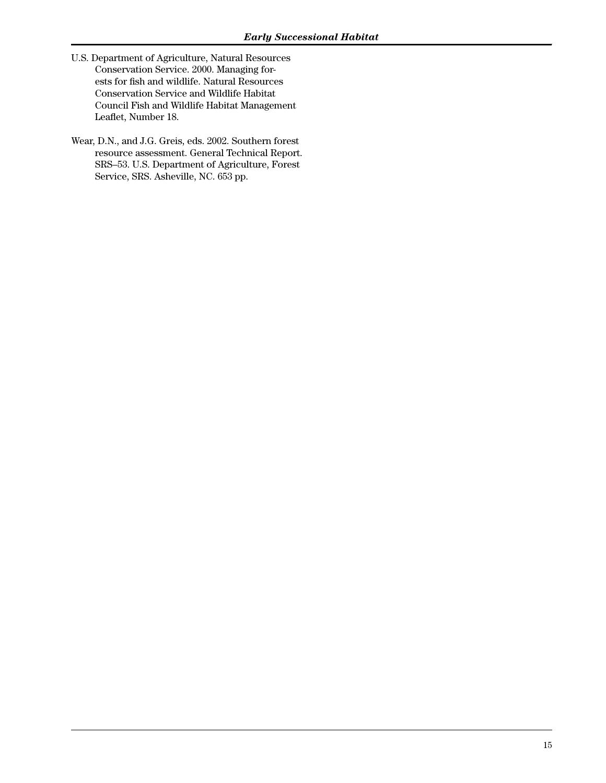- U.S. Department of Agriculture, Natural Resources Conservation Service. 2000. Managing forests for fish and wildlife. Natural Resources Conservation Service and Wildlife Habitat Council Fish and Wildlife Habitat Management Leaflet, Number 18.
- Wear, D.N., and J.G. Greis, eds. 2002. Southern forest resource assessment. General Technical Report. SRS–53. U.S. Department of Agriculture, Forest Service, SRS. Asheville, NC. 653 pp.